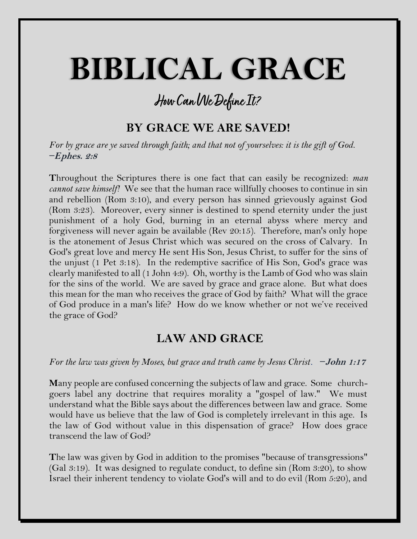# **BIBLICAL GRACE**

# **How Can We Define It?**

## **BY GRACE WE ARE SAVED!**

*For by grace are ye saved through faith; and that not of yourselves: it is the gift of God. −E***phes. 2:8**

**T**hroughout the Scriptures there is one fact that can easily be recognized: *man cannot save himself!* We see that the human race willfully chooses to continue in sin and rebellion (Rom 3:10), and every person has sinned grievously against God (Rom 3:23). Moreover, every sinner is destined to spend eternity under the just punishment of a holy God, burning in an eternal abyss where mercy and forgiveness will never again be available (Rev 20:15). Therefore, man's only hope is the atonement of Jesus Christ which was secured on the cross of Calvary. In God's great love and mercy He sent His Son, Jesus Christ, to suffer for the sins of the unjust (1 Pet 3:18). In the redemptive sacrifice of His Son, God's grace was clearly manifested to all (1 John 4:9). Oh, worthy is the Lamb of God who was slain for the sins of the world. We are saved by grace and grace alone. But what does this mean for the man who receives the grace of God by faith? What will the grace of God produce in a man's life? How do we know whether or not we've received the grace of God?

#### **LAW AND GRACE**

*For the law was given by Moses, but grace and truth came by Jesus Christ. −***John 1:17**

**M**any people are confused concerning the subjects of law and grace. Some churchgoers label any doctrine that requires morality a "gospel of law." We must understand what the Bible says about the differences between law and grace. Some would have us believe that the law of God is completely irrelevant in this age. Is the law of God without value in this dispensation of grace? How does grace transcend the law of God?

**T**he law was given by God in addition to the promises "because of transgressions" (Gal 3:19). It was designed to regulate conduct, to define sin (Rom 3:20), to show Israel their inherent tendency to violate God's will and to do evil (Rom 5:20), and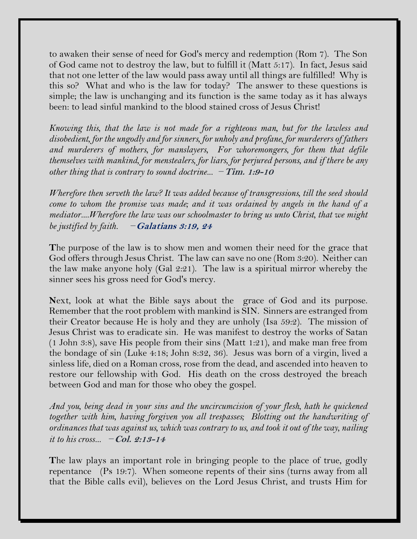to awaken their sense of need for God's mercy and redemption (Rom 7). The Son of God came not to destroy the law, but to fulfill it (Matt 5:17). In fact, Jesus said that not one letter of the law would pass away until all things are fulfilled! Why is this so? What and who is the law for today? The answer to these questions is simple; the law is unchanging and its function is the same today as it has always been: to lead sinful mankind to the blood stained cross of Jesus Christ!

*Knowing this, that the law is not made for a righteous man, but for the lawless and disobedient, for the ungodly and for sinners, for unholy and profane, for murderers of fathers and murderers of mothers, for manslayers, For whoremongers, for them that defile themselves with mankind, for menstealers, for liars, for perjured persons, and if there be any other thing that is contrary to sound doctrine... −***Tim. 1:9-10**

*Wherefore then serveth the law? It was added because of transgressions, till the seed should come to whom the promise was made; and it was ordained by angels in the hand of a mediator....Wherefore the law was our schoolmaster to bring us unto Christ, that we might be justified by faith. −***Galatians 3:19, 24**

**T**he purpose of the law is to show men and women their need for the grace that God offers through Jesus Christ. The law can save no one (Rom 3:20). Neither can the law make anyone holy (Gal 2:21). The law is a spiritual mirror whereby the sinner sees his gross need for God's mercy.

**N**ext, look at what the Bible says about the grace of God and its purpose. Remember that the root problem with mankind is SIN. Sinners are estranged from their Creator because He is holy and they are unholy (Isa 59:2). The mission of Jesus Christ was to eradicate sin. He was manifest to destroy the works of Satan (1 John 3:8), save His people from their sins (Matt 1:21), and make man free from the bondage of sin (Luke 4:18; John 8:32, 36). Jesus was born of a virgin, lived a sinless life, died on a Roman cross, rose from the dead, and ascended into heaven to restore our fellowship with God. His death on the cross destroyed the breach between God and man for those who obey the gospel.

*And you, being dead in your sins and the uncircumcision of your flesh, hath he quickened together with him, having forgiven you all trespasses; Blotting out the handwriting of ordinances that was against us, which was contrary to us, and took it out of the way, nailing it to his cross... −***Col. 2:13-14**

**T**he law plays an important role in bringing people to the place of true, godly repentance (Ps 19:7). When someone repents of their sins (turns away from all that the Bible calls evil), believes on the Lord Jesus Christ, and trusts Him for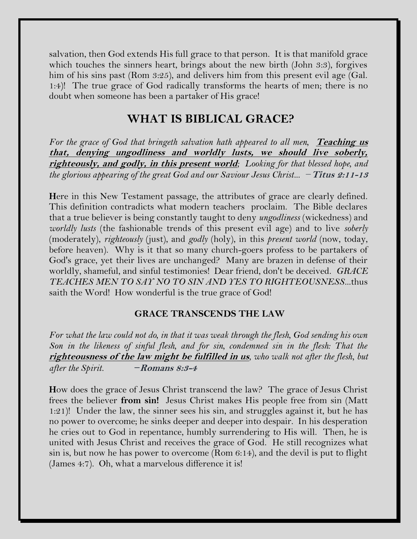salvation, then God extends His full grace to that person. It is that manifold grace which touches the sinners heart, brings about the new birth (John 3:3), forgives him of his sins past (Rom 3:25), and delivers him from this present evil age (Gal. 1:4)! The true grace of God radically transforms the hearts of men; there is no doubt when someone has been a partaker of His grace!

#### **WHAT IS BIBLICAL GRACE?**

For the grace of God that bringeth salvation hath appeared to all men, **Teaching us that, denying ungodliness and worldly lusts, we should live soberly, righteously, and godly, in this present world***; Looking for that blessed hope, and the glorious appearing of the great God and our Saviour Jesus Christ... −***Titus 2:11-13**

**H**ere in this New Testament passage, the attributes of grace are clearly defined. This definition contradicts what modern teachers proclaim. The Bible declares that a true believer is being constantly taught to deny *ungodliness* (wickedness) and *worldly lusts* (the fashionable trends of this present evil age) and to live *soberly*  (moderately), *righteously* (just), and *godly* (holy), in this *present world* (now, today, before heaven). Why is it that so many church-goers profess to be partakers of God's grace, yet their lives are unchanged? Many are brazen in defense of their worldly, shameful, and sinful testimonies! Dear friend, don't be deceived. *GRACE TEACHES MEN TO SAY NO TO SIN AND YES TO RIGHTEOUSNESS*...thus saith the Word! How wonderful is the true grace of God!

#### **GRACE TRANSCENDS THE LAW**

*For what the law could not do, in that it was weak through the flesh, God sending his own*  Son in the likeness of sinful flesh, and for sin, condemned sin in the flesh: That the **righteousness of the law might be fulfilled in us***, who walk not after the flesh, but after the Spirit. −***Romans 8:3-4**

**H**ow does the grace of Jesus Christ transcend the law? The grace of Jesus Christ frees the believer **from sin!** Jesus Christ makes His people free from sin (Matt 1:21)! Under the law, the sinner sees his sin, and struggles against it, but he has no power to overcome; he sinks deeper and deeper into despair. In his desperation he cries out to God in repentance, humbly surrendering to His will. Then, he is united with Jesus Christ and receives the grace of God. He still recognizes what sin is, but now he has power to overcome (Rom 6:14), and the devil is put to flight (James 4:7). Oh, what a marvelous difference it is!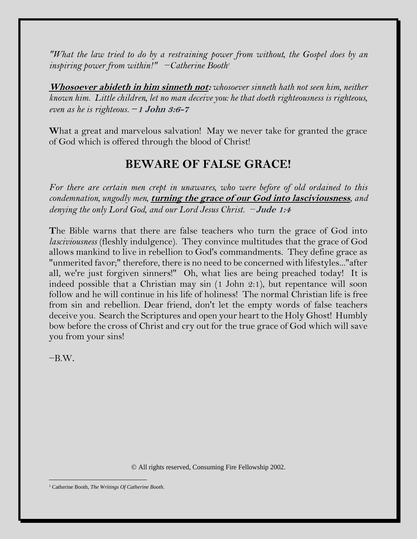*"What the law tried to do by a restraining power from without, the Gospel does by an inspiring power from within!"* −*Catherine Booth<sup>1</sup>*

**Whosoever abideth in him sinneth not:** *whosoever sinneth hath not seen him, neither known him. Little children, let no man deceive you: he that doeth righteousness is righteous, even as he is righteous. −***1 John 3:6-7**

**W**hat a great and marvelous salvation! May we never take for granted the grace of God which is offered through the blood of Christ!

### **BEWARE OF FALSE GRACE!**

*For there are certain men crept in unawares, who were before of old ordained to this condemnation, ungodly men,* **turning the grace of our God into lasciviousness***, and denying the only Lord God, and our Lord Jesus Christ. −***Jude 1:4**

**T**he Bible warns that there are false teachers who turn the grace of God into *lasciviousness* (fleshly indulgence). They convince multitudes that the grace of God allows mankind to live in rebellion to God's commandments. They define grace as "unmerited favor;" therefore, there is no need to be concerned with lifestyles..."after all, we're just forgiven sinners!" Oh, what lies are being preached today! It is indeed possible that a Christian may sin (1 John 2:1), but repentance will soon follow and he will continue in his life of holiness! The normal Christian life is free from sin and rebellion. Dear friend, don't let the empty words of false teachers deceive you. Search the Scriptures and open your heart to the Holy Ghost! Humbly bow before the cross of Christ and cry out for the true grace of God which will save you from your sins!

 $-B.W.$ 

© All rights reserved, Consuming Fire Fellowship 2002.

<sup>1</sup> Catherine Booth, *The Writings Of Catherine Booth.*